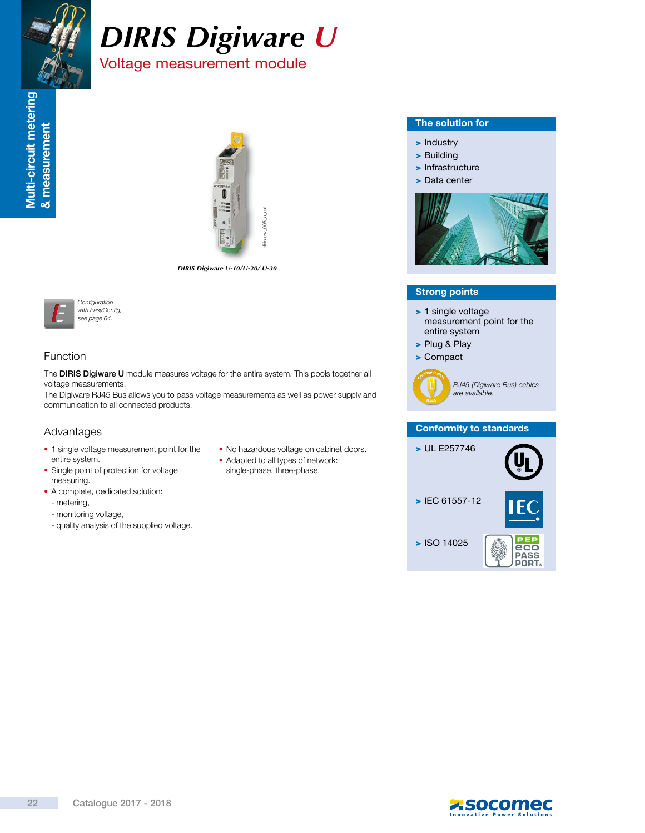

# *DIRIS Digiware U* Voltage measurement module



*DIRIS Digiware U-10/U-20/ U-30*



# Function

The DIRIS Digiware U module measures voltage for the entire system. This pools together all voltage measurements.

The Digiware RJ45 Bus allows you to pass voltage measurements as well as power supply and communication to all connected products.

# Advantages

- 1 single voltage measurement point for the entire system.
- Single point of protection for voltage measuring.
- A complete, dedicated solution:
	- metering,
	- monitoring voltage,
	- quality analysis of the supplied voltage.
- No hazardous voltage on cabinet doors.
- Adapted to all types of network: single-phase, three-phase.

#### The solution for

- > Industry
- > Building
- > Infrastructure
- > Data center



#### Strong points

- > 1 single voltage measurement point for the entire system
- > Plug & Play
- > Compact